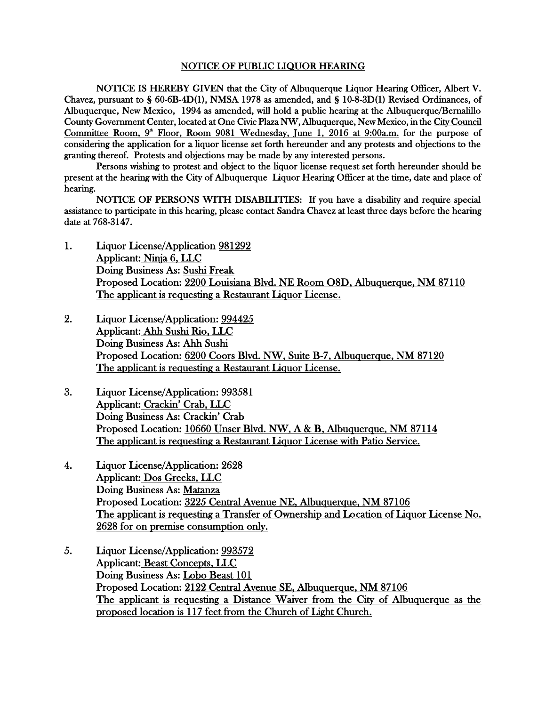## NOTICE OF PUBLIC LIQUOR HEARING

NOTICE IS HEREBY GIVEN that the City of Albuquerque Liquor Hearing Officer, Albert V. Chavez, pursuant to § 60-6B-4D(1), NMSA 1978 as amended, and § 10-8-3D(1) Revised Ordinances, of Albuquerque, New Mexico, 1994 as amended, will hold a public hearing at the Albuquerque/Bernalillo County Government Center, located at One Civic Plaza NW, Albuquerque, New Mexico, in the City Council Committee Room, 9<sup>th</sup> Floor, Room 9081 Wednesday, June 1, 2016 at 9:00a.m. for the purpose of considering the application for a liquor license set forth hereunder and any protests and objections to the granting thereof. Protests and objections may be made by any interested persons.

Persons wishing to protest and object to the liquor license request set forth hereunder should be present at the hearing with the City of Albuquerque Liquor Hearing Officer at the time, date and place of hearing.

NOTICE OF PERSONS WITH DISABILITIES: If you have a disability and require special assistance to participate in this hearing, please contact Sandra Chavez at least three days before the hearing date at 768-3147.

- 1. Liquor License/Application 981292 Applicant: Ninja 6, LLC Doing Business As: Sushi Freak Proposed Location: 2200 Louisiana Blvd. NE Room O8D, Albuquerque, NM 87110 The applicant is requesting a Restaurant Liquor License.
- 2. Liquor License/Application: 994425 Applicant: Ahh Sushi Rio, LLC Doing Business As: Ahh Sushi Proposed Location: 6200 Coors Blvd. NW, Suite B-7, Albuquerque, NM 87120 The applicant is requesting a Restaurant Liquor License.
- 3. Liquor License/Application: 993581 Applicant: Crackin' Crab, LLC Doing Business As: Crackin' Crab Proposed Location: 10660 Unser Blvd. NW, A & B, Albuquerque, NM 87114 The applicant is requesting a Restaurant Liquor License with Patio Service.
- 4. Liquor License/Application: 2628 Applicant: Dos Greeks, LLC Doing Business As: Matanza Proposed Location: 3225 Central Avenue NE, Albuquerque, NM 87106 The applicant is requesting a Transfer of Ownership and Location of Liquor License No. 2628 for on premise consumption only.
- 5. Liquor License/Application: 993572 Applicant: Beast Concepts, LLC Doing Business As: Lobo Beast 101 Proposed Location: 2122 Central Avenue SE, Albuquerque, NM 87106 The applicant is requesting a Distance Waiver from the City of Albuquerque as the proposed location is 117 feet from the Church of Light Church.